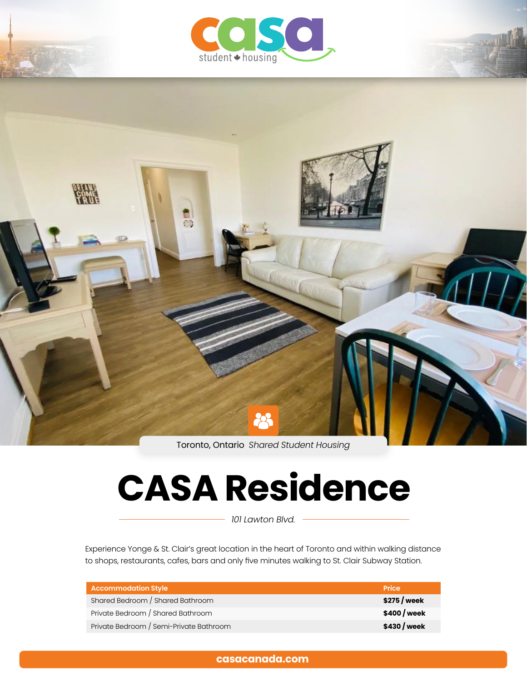



Toronto, Ontario *Shared Student Housing*

# **CASA Residence**

*101 Lawton Blvd.*

Experience Yonge & St. Clair's great location in the heart of Toronto and within walking distance to shops, restaurants, cafes, bars and only five minutes walking to St. Clair Subway Station.

| <b>Accommodation Style</b>              | <b>Price</b> |
|-----------------------------------------|--------------|
| Shared Bedroom / Shared Bathroom        | \$275 / week |
| Private Bedroom / Shared Bathroom       | \$400 / week |
| Private Bedroom / Semi-Private Bathroom | \$430 / week |

# **[casacanada.com](https://casacanada.com/)**